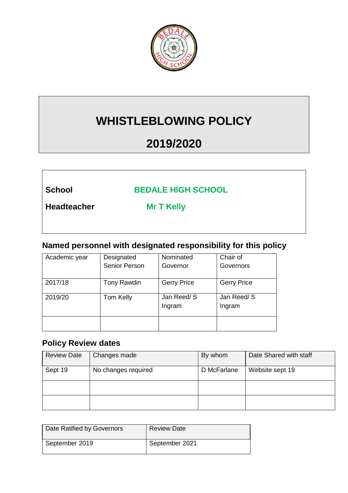

# **WHISTLEBLOWING POLICY**

# **2019/2020**

**School BEDALE HIGH SCHOOL**

**Headteacher Mr T Kelly**

## **Named personnel with designated responsibility for this policy**

| Academic year | Designated           | Nominated          | Chair of           |
|---------------|----------------------|--------------------|--------------------|
|               | <b>Senior Person</b> | Governor           | Governors          |
|               |                      |                    |                    |
| 2017/18       | Tony Rawdin          | <b>Gerry Price</b> | <b>Gerry Price</b> |
|               |                      |                    |                    |
| 2019/20       | Tom Kelly            | Jan Reed/S         | Jan Reed/S         |
|               |                      | Ingram             | Ingram             |
|               |                      |                    |                    |
|               |                      |                    |                    |
|               |                      |                    |                    |

#### **Policy Review dates**

| <b>Review Date</b> | Changes made        | By whom     | Date Shared with staff |
|--------------------|---------------------|-------------|------------------------|
| Sept 19            | No changes required | D McFarlane | Website sept 19        |
|                    |                     |             |                        |
|                    |                     |             |                        |

| Date Ratified by Governors | <b>Review Date</b> |
|----------------------------|--------------------|
| September 2019             | September 2021     |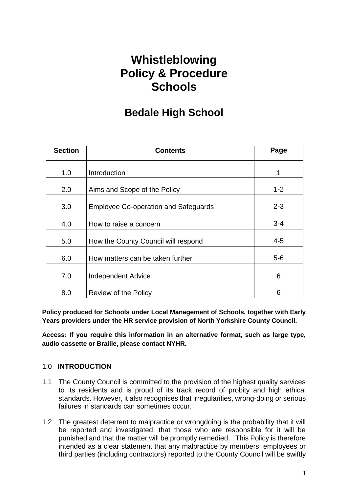## **Whistleblowing Policy & Procedure Schools**

## **Bedale High School**

| <b>Section</b> | <b>Contents</b>                             | Page    |
|----------------|---------------------------------------------|---------|
| 1.0            | Introduction                                | 1       |
| 2.0            | Aims and Scope of the Policy                | $1 - 2$ |
| 3.0            | <b>Employee Co-operation and Safeguards</b> | $2 - 3$ |
| 4.0            | How to raise a concern                      | $3 - 4$ |
| 5.0            | How the County Council will respond         | 4-5     |
| 6.0            | How matters can be taken further            | $5-6$   |
| 7.0            | Independent Advice                          | 6       |
| 8.0            | Review of the Policy                        | 6       |

**Policy produced for Schools under Local Management of Schools, together with Early Years providers under the HR service provision of North Yorkshire County Council.**

**Access: If you require this information in an alternative format, such as large type, audio cassette or Braille, please contact NYHR.**

#### 1.0 **INTRODUCTION**

- 1.1 The County Council is committed to the provision of the highest quality services to its residents and is proud of its track record of probity and high ethical standards. However, it also recognises that irregularities, wrong-doing or serious failures in standards can sometimes occur.
- 1.2 The greatest deterrent to malpractice or wrongdoing is the probability that it will be reported and investigated, that those who are responsible for it will be punished and that the matter will be promptly remedied. This Policy is therefore intended as a clear statement that any malpractice by members, employees or third parties (including contractors) reported to the County Council will be swiftly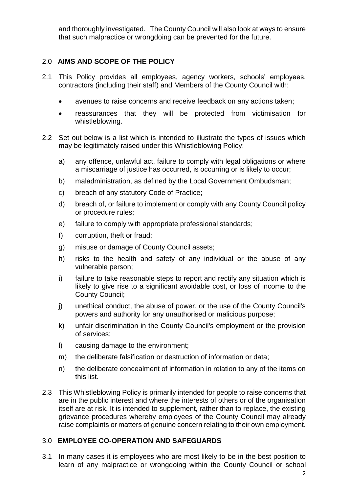and thoroughly investigated. The County Council will also look at ways to ensure that such malpractice or wrongdoing can be prevented for the future.

#### 2.0 **AIMS AND SCOPE OF THE POLICY**

- 2.1 This Policy provides all employees, agency workers, schools' employees, contractors (including their staff) and Members of the County Council with:
	- avenues to raise concerns and receive feedback on any actions taken;
	- reassurances that they will be protected from victimisation for whistleblowing.
- 2.2 Set out below is a list which is intended to illustrate the types of issues which may be legitimately raised under this Whistleblowing Policy:
	- a) any offence, unlawful act, failure to comply with legal obligations or where a miscarriage of justice has occurred, is occurring or is likely to occur;
	- b) maladministration, as defined by the Local Government Ombudsman;
	- c) breach of any statutory Code of Practice;
	- d) breach of, or failure to implement or comply with any County Council policy or procedure rules;
	- e) failure to comply with appropriate professional standards;
	- f) corruption, theft or fraud;
	- g) misuse or damage of County Council assets;
	- h) risks to the health and safety of any individual or the abuse of any vulnerable person;
	- i) failure to take reasonable steps to report and rectify any situation which is likely to give rise to a significant avoidable cost, or loss of income to the County Council;
	- j) unethical conduct, the abuse of power, or the use of the County Council's powers and authority for any unauthorised or malicious purpose;
	- k) unfair discrimination in the County Council's employment or the provision of services;
	- l) causing damage to the environment;
	- m) the deliberate falsification or destruction of information or data;
	- n) the deliberate concealment of information in relation to any of the items on this list.
- 2.3 This Whistleblowing Policy is primarily intended for people to raise concerns that are in the public interest and where the interests of others or of the organisation itself are at risk. It is intended to supplement, rather than to replace, the existing grievance procedures whereby employees of the County Council may already raise complaints or matters of genuine concern relating to their own employment.

#### 3.0 **EMPLOYEE CO-OPERATION AND SAFEGUARDS**

3.1 In many cases it is employees who are most likely to be in the best position to learn of any malpractice or wrongdoing within the County Council or school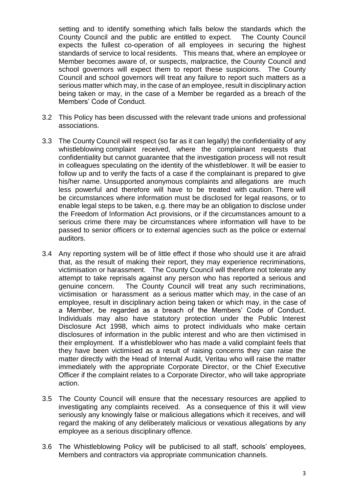setting and to identify something which falls below the standards which the County Council and the public are entitled to expect. The County Council expects the fullest co-operation of all employees in securing the highest standards of service to local residents. This means that, where an employee or Member becomes aware of, or suspects, malpractice, the County Council and school governors will expect them to report these suspicions. The County Council and school governors will treat any failure to report such matters as a serious matter which may, in the case of an employee, result in disciplinary action being taken or may, in the case of a Member be regarded as a breach of the Members' Code of Conduct.

- 3.2 This Policy has been discussed with the relevant trade unions and professional associations.
- 3.3 The County Council will respect (so far as it can legally) the confidentiality of any whistleblowing complaint received, where the complainant requests that confidentiality but cannot guarantee that the investigation process will not result in colleagues speculating on the identity of the whistleblower. It will be easier to follow up and to verify the facts of a case if the complainant is prepared to give his/her name. Unsupported anonymous complaints and allegations are much less powerful and therefore will have to be treated with caution. There will be circumstances where information must be disclosed for legal reasons, or to enable legal steps to be taken, e.g. there may be an obligation to disclose under the Freedom of Information Act provisions, or if the circumstances amount to a serious crime there may be circumstances where information will have to be passed to senior officers or to external agencies such as the police or external auditors.
- 3.4 Any reporting system will be of little effect if those who should use it are afraid that, as the result of making their report, they may experience recriminations, victimisation or harassment. The County Council will therefore not tolerate any attempt to take reprisals against any person who has reported a serious and genuine concern. The County Council will treat any such recriminations, victimisation or harassment as a serious matter which may, in the case of an employee, result in disciplinary action being taken or which may, in the case of a Member, be regarded as a breach of the Members' Code of Conduct. Individuals may also have statutory protection under the Public Interest Disclosure Act 1998, which aims to protect individuals who make certain disclosures of information in the public interest and who are then victimised in their employment. If a whistleblower who has made a valid complaint feels that they have been victimised as a result of raising concerns they can raise the matter directly with the Head of Internal Audit, Veritau who will raise the matter immediately with the appropriate Corporate Director, or the Chief Executive Officer if the complaint relates to a Corporate Director, who will take appropriate action.
- 3.5 The County Council will ensure that the necessary resources are applied to investigating any complaints received. As a consequence of this it will view seriously any knowingly false or malicious allegations which it receives, and will regard the making of any deliberately malicious or vexatious allegations by any employee as a serious disciplinary offence.
- 3.6 The Whistleblowing Policy will be publicised to all staff, schools' employees, Members and contractors via appropriate communication channels.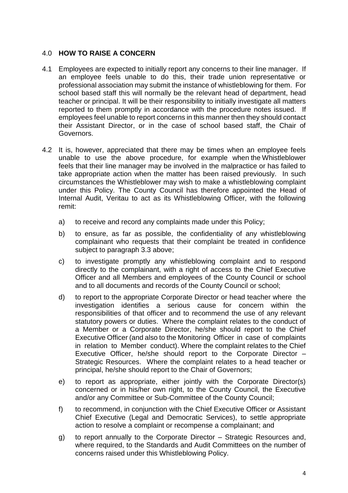#### 4.0 **HOW TO RAISE A CONCERN**

- 4.1 Employees are expected to initially report any concerns to their line manager. If an employee feels unable to do this, their trade union representative or professional association may submit the instance of whistleblowing for them. For school based staff this will normally be the relevant head of department, head teacher or principal. It will be their responsibility to initially investigate all matters reported to them promptly in accordance with the procedure notes issued. If employees feel unable to report concerns in this manner then they should contact their Assistant Director, or in the case of school based staff, the Chair of Governors.
- 4.2 It is, however, appreciated that there may be times when an employee feels unable to use the above procedure, for example when the Whistleblower feels that their line manager may be involved in the malpractice or has failed to take appropriate action when the matter has been raised previously. In such circumstances the Whistleblower may wish to make a whistleblowing complaint under this Policy. The County Council has therefore appointed the Head of Internal Audit, Veritau to act as its Whistleblowing Officer, with the following remit:
	- a) to receive and record any complaints made under this Policy;
	- b) to ensure, as far as possible, the confidentiality of any whistleblowing complainant who requests that their complaint be treated in confidence subject to paragraph 3.3 above;
	- c) to investigate promptly any whistleblowing complaint and to respond directly to the complainant, with a right of access to the Chief Executive Officer and all Members and employees of the County Council or school and to all documents and records of the County Council or school;
	- d) to report to the appropriate Corporate Director or head teacher where the investigation identifies a serious cause for concern within the responsibilities of that officer and to recommend the use of any relevant statutory powers or duties. Where the complaint relates to the conduct of a Member or a Corporate Director, he/she should report to the Chief Executive Officer (and also to the Monitoring Officer in case of complaints in relation to Member conduct). Where the complaint relates to the Chief Executive Officer, he/she should report to the Corporate Director – Strategic Resources. Where the complaint relates to a head teacher or principal, he/she should report to the Chair of Governors;
	- e) to report as appropriate, either jointly with the Corporate Director(s) concerned or in his/her own right, to the County Council, the Executive and/or any Committee or Sub-Committee of the County Council;
	- f) to recommend, in conjunction with the Chief Executive Officer or Assistant Chief Executive (Legal and Democratic Services), to settle appropriate action to resolve a complaint or recompense a complainant; and
	- g) to report annually to the Corporate Director Strategic Resources and, where required, to the Standards and Audit Committees on the number of concerns raised under this Whistleblowing Policy.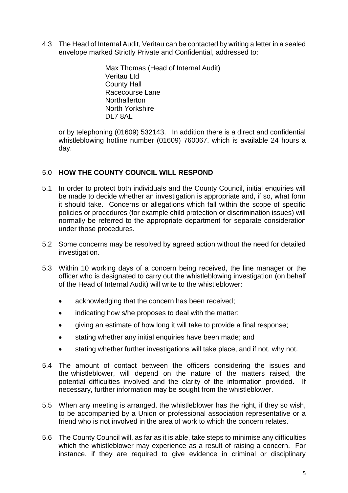4.3 The Head of Internal Audit, Veritau can be contacted by writing a letter in a sealed envelope marked Strictly Private and Confidential, addressed to:

> Max Thomas (Head of Internal Audit) Veritau Ltd County Hall Racecourse Lane **Northallerton** North Yorkshire DL7 8AL

or by telephoning (01609) 532143. In addition there is a direct and confidential whistleblowing hotline number (01609) 760067, which is available 24 hours a day.

#### 5.0 **HOW THE COUNTY COUNCIL WILL RESPOND**

- 5.1 In order to protect both individuals and the County Council, initial enquiries will be made to decide whether an investigation is appropriate and, if so, what form it should take. Concerns or allegations which fall within the scope of specific policies or procedures (for example child protection or discrimination issues) will normally be referred to the appropriate department for separate consideration under those procedures.
- 5.2 Some concerns may be resolved by agreed action without the need for detailed investigation.
- 5.3 Within 10 working days of a concern being received, the line manager or the officer who is designated to carry out the whistleblowing investigation (on behalf of the Head of Internal Audit) will write to the whistleblower:
	- acknowledging that the concern has been received;
	- indicating how s/he proposes to deal with the matter;
	- giving an estimate of how long it will take to provide a final response;
	- **•** stating whether any initial enquiries have been made; and
	- stating whether further investigations will take place, and if not, why not.
- 5.4 The amount of contact between the officers considering the issues and the whistleblower, will depend on the nature of the matters raised, the potential difficulties involved and the clarity of the information provided. If necessary, further information may be sought from the whistleblower.
- 5.5 When any meeting is arranged, the whistleblower has the right, if they so wish, to be accompanied by a Union or professional association representative or a friend who is not involved in the area of work to which the concern relates.
- 5.6 The County Council will, as far as it is able, take steps to minimise any difficulties which the whistleblower may experience as a result of raising a concern. For instance, if they are required to give evidence in criminal or disciplinary